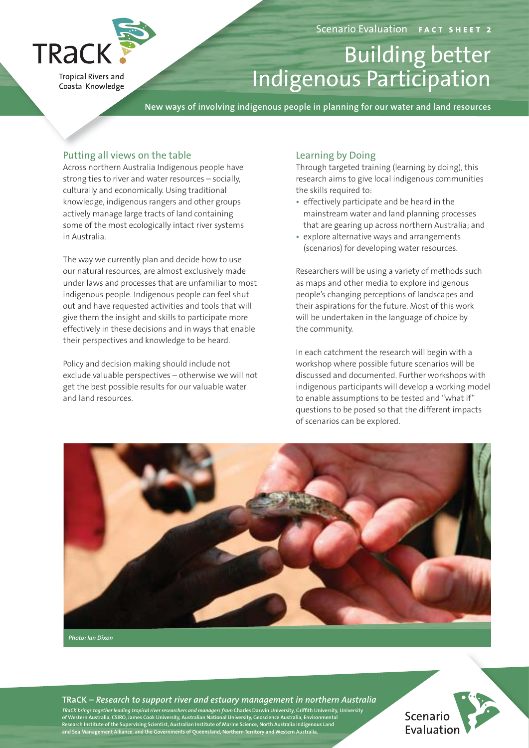

**Tropical Rivers and** Coastal Knowledge

# Building better Indigenous Participation

**New ways of involving indigenous people in planning for our water and land resources**

## Putting all views on the table

Across northern Australia Indigenous people have strong ties to river and water resources – socially, culturally and economically. Using traditional knowledge, indigenous rangers and other groups actively manage large tracts of land containing some of the most ecologically intact river systems in Australia.

The way we currently plan and decide how to use our natural resources, are almost exclusively made under laws and processes that are unfamiliar to most indigenous people. Indigenous people can feel shut out and have requested activities and tools that will give them the insight and skills to participate more effectively in these decisions and in ways that enable their perspectives and knowledge to be heard.

Policy and decision making should include not exclude valuable perspectives – otherwise we will not get the best possible results for our valuable water and land resources.

# Learning by Doing

Through targeted training (learning by doing), this research aims to give local indigenous communities the skills required to:

- effectively participate and be heard in the mainstream water and land planning processes that are gearing up across northern Australia; and
- explore alternative ways and arrangements (scenarios) for developing water resources.

Researchers will be using a variety of methods such as maps and other media to explore indigenous people's changing perceptions of landscapes and their aspirations for the future. Most of this work will be undertaken in the language of choice by the community.

In each catchment the research will begin with a workshop where possible future scenarios will be discussed and documented. Further workshops with indigenous participants will develop a working model to enable assumptions to be tested and "what if" questions to be posed so that the different impacts of scenarios can be explored.



**TRaCK** *– Research to support river and estuary management in northern Australia thern* 

TRaCK brings together leading tropical river researchers and managers from Charles Darwin University, Griffith University, University<br>of Western Australia, CSIRO, James Cook University, Australian National University, Geos **niversity, University**